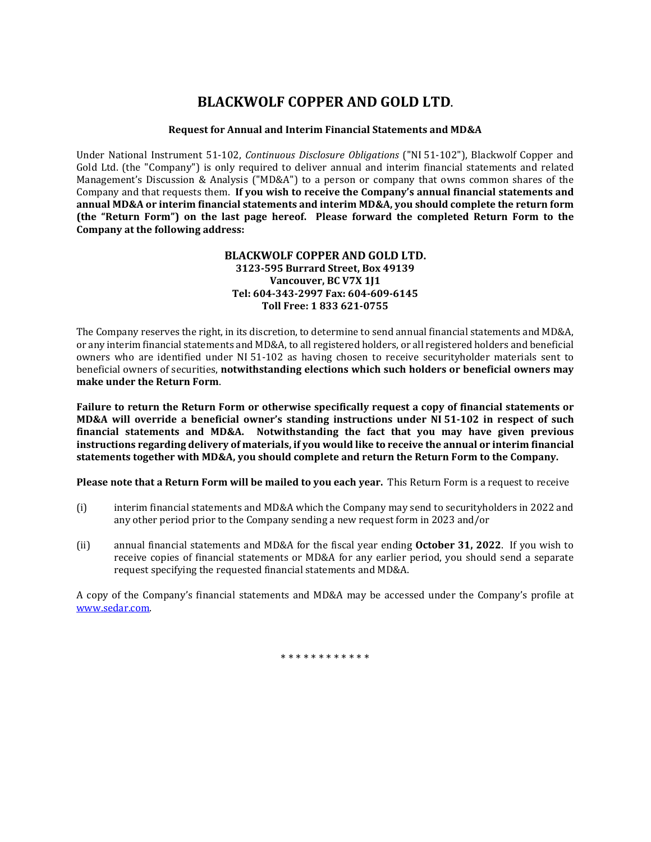# **BLACKWOLF COPPER AND GOLD LTD.**

## **Request for Annual and Interim Financial Statements and MD&A**

Under National Instrument 51-102, *Continuous Disclosure Obligations* ("NI 51-102"), Blackwolf Copper and Gold Ltd. (the "Company") is only required to deliver annual and interim financial statements and related Management's Discussion & Analysis ("MD&A") to a person or company that owns common shares of the Company and that requests them. **If you wish to receive the Company's annual financial statements and annual MD&A or interim financial statements and interim MD&A, you should complete the return form (the "Return Form") on the last page hereof. Please forward the completed Return Form to the Company at the following address:**

### **BLACKWOLF COPPER AND GOLD LTD. 3123-595 Burrard Street, Box 49139 Vancouver, BC V7X 1J1 Tel: 604-343-2997 Fax: 604-609-6145 Toll Free: 1 833 621-0755**

The Company reserves the right, in its discretion, to determine to send annual financial statements and MD&A, or any interim financial statements and MD&A, to all registered holders, or all registered holders and beneficial owners who are identified under NI 51-102 as having chosen to receive securityholder materials sent to beneficial owners of securities, **notwithstanding elections which such holders or beneficial owners may make under the Return Form**.

**Failure to return the Return Form or otherwise specifically request a copy of financial statements or MD&A will override a beneficial owner's standing instructions under NI 51-102 in respect of such financial statements and MD&A. Notwithstanding the fact that you may have given previous instructions regarding delivery of materials, if you would like to receive the annual or interim financial statements together with MD&A, you should complete and return the Return Form to the Company.**

**Please note that a Return Form will be mailed to you each year.** This Return Form is a request to receive

- (i) interim financial statements and MD&A which the Company may send to securityholders in 2022 and any other period prior to the Company sending a new request form in 2023 and/or
- (ii) annual financial statements and MD&A for the fiscal year ending **October 31, 2022**. If you wish to receive copies of financial statements or MD&A for any earlier period, you should send a separate request specifying the requested financial statements and MD&A.

A copy of the Company's financial statements and MD&A may be accessed under the Company's profile at [www.sedar.com.](http://www.sedar.com/)

\* \* \* \* \* \* \* \* \* \* \*